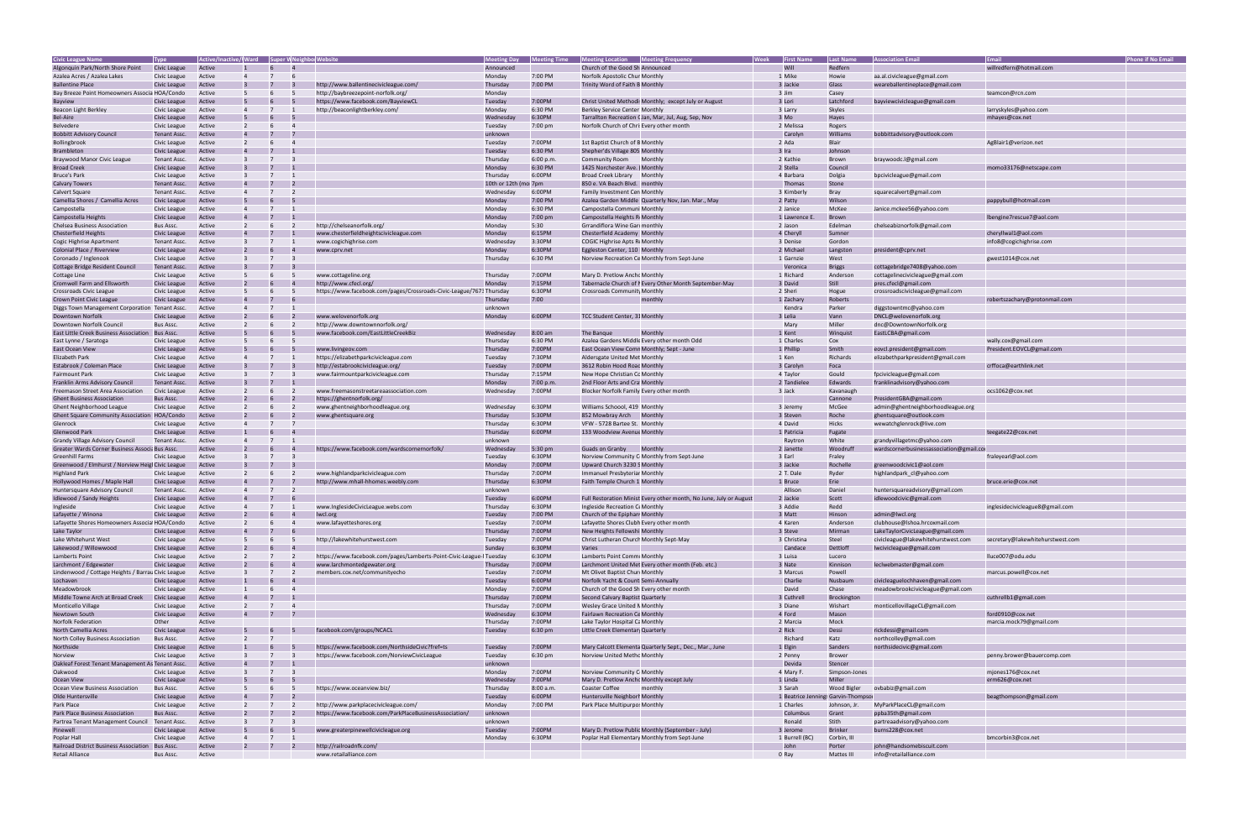| <b>Civic League Name</b>                           | Type         | Active/Inactive/ Ward Super W Neighbol Website |              |                                                                      | <b>Meeting Day</b>    | <b>Meeting Time</b> | Meeting Location Meeting Frequency        |                                                                    | <b>Week</b> | <b>First Name</b> | <b>Last Name</b>  | <b>Association Email</b>                |                                  | <b>Phone if No Email</b> |
|----------------------------------------------------|--------------|------------------------------------------------|--------------|----------------------------------------------------------------------|-----------------------|---------------------|-------------------------------------------|--------------------------------------------------------------------|-------------|-------------------|-------------------|-----------------------------------------|----------------------------------|--------------------------|
| Algonquin Park/North Shore Point                   | Civic League | Active                                         |              |                                                                      | Announced             |                     | Church of the Good Sh Announced           |                                                                    |             | Will              | Redfern           |                                         | willredfern@hotmail.com          |                          |
| Azalea Acres / Azalea Lakes                        | Civic League | Active                                         |              |                                                                      | Monday                | 7:00 PM             | Norfolk Apostolic Chur Monthly            |                                                                    |             | 1 Mike            | Howie             | aa.al.civicleague@gmail.com             |                                  |                          |
| <b>Ballentine Place</b>                            | Civic League | Active                                         |              | http://www.ballentinecivicleague.com/                                | Thursday              | 7:00 PM             | Trinity Word of Faith B Monthly           |                                                                    |             | 3 Jackie          | Glass             | weareballentineplace@gmail.com          |                                  |                          |
| Bay Breeze Point Homeowners Associa HOA/Condo      |              | Active                                         |              | http://baybreezepoint-norfolk.org/                                   | Monday                |                     |                                           |                                                                    |             | 3 Jim             | Casey             |                                         | teamcon@rcn.com                  |                          |
| Bayview                                            | Civic League | Active                                         |              | https://www.facebook.com/BayviewCL                                   | Tuesday               | 7:00PM              |                                           | Christ United Methodi: Monthly; except July or August              |             | 3 Lori            | Latchford         | bayviewcivicleague@gmail.com            |                                  |                          |
| Beacon Light Berkley                               | Civic League | Active                                         |              | http://beaconlightberkley.com/                                       | Monday                | 6:30 PM             | Berkley Service Center Monthly            |                                                                    |             | 3 Larry           | Skyles            |                                         | larryskyles@yahoo.com            |                          |
| <b>Bel-Aire</b>                                    | Civic League | Active                                         |              |                                                                      | Wednesday             | 6:30PM              |                                           | Tarrallton Recreation C Jan, Mar, Jul, Aug, Sep, Nov               |             | 3 Mo              | Hayes             |                                         | mhayes@cox.net                   |                          |
| <b>Belvedere</b>                                   | Civic League | Active                                         |              |                                                                      | Tuesday               | 7:00 pm             | Norfolk Church of Chri: Every other month |                                                                    |             | 2 Melissa         | Rogers            |                                         |                                  |                          |
| <b>Bobbitt Advisory Council</b>                    | Tenant Assc. | Active                                         |              |                                                                      | unknown               |                     |                                           |                                                                    |             | Carolyn           | Williams          | bobbittadvisory@outlook.com             |                                  |                          |
| Bollingbrook                                       | Civic League | Active                                         |              |                                                                      | Tuesday               | 7:00PM              | 1st Baptist Church of B Monthly           |                                                                    |             | 2 Ada             | Blair             |                                         | AgBlair1@verizon.net             |                          |
| <b>Brambleton</b>                                  | Civic League | Active                                         |              |                                                                      | Tuesday               | 6:30 PM             | Shepher'ds Village 805 Monthly            |                                                                    |             | 3 Ira             | Johnson           |                                         |                                  |                          |
| Braywood Manor Civic League                        | Tenant Assc. | Active                                         |              |                                                                      | Thursday              | 6:00 p.m.           | Community Room Monthly                    |                                                                    |             | 2 Kathie          | Brown             | braywoodc.l@gmail.com                   |                                  |                          |
| <b>Broad Creek</b>                                 | Civic League | Active                                         |              |                                                                      | Monday                | 6:30 PM             | 1425 Norchester Ave. (Monthly             |                                                                    |             | 2 Stella          | Council           |                                         | momo33176@netscape.com           |                          |
| Bruce's Park                                       | Civic League | Active                                         |              |                                                                      | Thursday              | 6:00PM              | Broad Creek Library Monthly               |                                                                    |             | 4 Barbara         | Dolgia            | bpcivicleague@gmail.com                 |                                  |                          |
| <b>Calvary Towers</b>                              | Tenant Assc. | Active                                         |              |                                                                      | 10th or 12th (moi 7pm |                     | 850 e. VA Beach Blvd. monthly             |                                                                    |             | Thomas            | Stone             |                                         |                                  |                          |
| <b>Calvert Square</b>                              | Tenant Assc. | Active                                         |              |                                                                      | Wednesday             | 6:00PM              | Family Investment Cen Monthly             |                                                                    |             | 3 Kimberly        | Bray              | squarecalvert@gmail.com                 |                                  |                          |
| Camellia Shores / Camellia Acres                   | Civic League | Active                                         |              |                                                                      | Monday                | 7:00 PM             |                                           | Azalea Garden Middle Quarterly Nov, Jan. Mar., May                 |             | 2 Patty           | Wilson            |                                         | pappybull@hotmail.com            |                          |
| Campostella                                        | Civic League | Active                                         |              |                                                                      | Monday                | 6:30 PM             | Campostella Communi Monthly               |                                                                    |             | 2 Janice          | McKee             | Janice.mckee56@yahoo.com                |                                  |                          |
| Campostella Heights                                | Civic League | Active                                         |              |                                                                      | Monday                | 7:00 pm             | Campostella Heights R. Monthly            |                                                                    |             | 1 Lawrence        | Brown             |                                         | lbengine7rescue7@aol.com         |                          |
|                                                    |              |                                                |              | http://chelseanorfolk.org/                                           |                       | 5:30                |                                           |                                                                    |             |                   |                   |                                         |                                  |                          |
| <b>Chelsea Business Association</b>                | Bus Assc.    | Active                                         |              |                                                                      | Monday                |                     | Grrandiflora Wine Gard monthly            |                                                                    |             | 2 Jason           | Edelman           | chelseabiznorfolk@gmail.com             |                                  |                          |
| <b>Chesterfield Heights</b>                        | Civic League | Active                                         |              | www.chesterfieldheightscivicleague.com                               | Monday                | 6:15PM              | Chesterfield Academy Monthly              |                                                                    |             | 4 Cheryll         | Sumner            |                                         | cheryllwal1@aol.com              |                          |
| Cogic Highrise Apartment                           | Tenant Assc. | Active                                         |              | www.cogichighrise.com                                                | Wednesday             | 3:30PM              | COGIC Highrise Apts ReMonthly             |                                                                    |             | 3 Denise          | Gordon            |                                         | info8@cogichighrise.com          |                          |
| Colonial Place / Riverview                         | Civic League | Active                                         |              | www.cprv.net                                                         | Monday                | 6:30PM              | Eggleston Center, 110   Monthly           |                                                                    |             | 2 Michael         | Langston          | president@cprv.net                      |                                  |                          |
| Coronado / Inglenook                               | Civic League | Active                                         |              |                                                                      | Thursday              | 6:30 PM             |                                           | Norview Recreation Ce Monthly from Sept-June                       |             | 1 Garnzie         | West              |                                         | gwest1014@cox.net                |                          |
| Cottage Bridge Resident Council                    | Tenant Assc. | Active                                         |              |                                                                      |                       |                     |                                           |                                                                    |             | Veronica          | <b>Briggs</b>     | cottagebridge7408@yahoo.com             |                                  |                          |
| Cottage Line                                       | Civic League | Active                                         |              | www.cottageline.org                                                  | Thursday              | 7:00PM              | Mary D. Pretlow Ancho Monthly             |                                                                    |             | 1 Richard         | Anderson          | cottagelinecivicleague@gmail.com        |                                  |                          |
| Cromwell Farm and Ellsworth                        | Civic League | Active                                         |              | http://www.cfecl.org/                                                | Monday                | 7:15PM              |                                           | Tabernacle Church of I Every Other Month September-May             |             | 3 David           | Still             | pres.cfecl@gmail.com                    |                                  |                          |
| Crossroads Civic League                            | Civic League | Active                                         |              | https://www.facebook.com/pages/Crossroads-Civic-League/7673Thursday  |                       | 6:30PM              | Crossroads Community Monthly              |                                                                    |             | 2 Sheri           | Hogue             | crossroadscivicleague@gmail.com         |                                  |                          |
| Crown Point Civic League                           | Civic League | Active                                         |              |                                                                      | Thursday              | 7:00                |                                           | monthly                                                            |             | 1 Zachary         | Roberts           |                                         | robertszachary@protonmail.com    |                          |
| Diggs Town Management Corporation Tenant Assc.     |              | Active                                         |              |                                                                      | unknown               |                     |                                           |                                                                    |             | Kendra            | Parker            | diggstowntmc@yahoo.com                  |                                  |                          |
| Downtown Norfolk                                   | Civic League | Active                                         |              | www.welovenorfolk.org                                                | Monday                | 6:00PM              | TCC Student Center, 31 Monthly            |                                                                    |             | 3 Lelia           | Vann              | DNCL@welovenorfolk.org                  |                                  |                          |
| Downtown Norfolk Council                           | Bus Assc.    | Active                                         |              | http://www.downtownnorfolk.org/                                      |                       |                     |                                           |                                                                    |             | Mary              | Miller            | dnc@DowntownNorfolk.org                 |                                  |                          |
| East Little Creek Business Association             | Bus Assc.    | Active                                         |              | www.facebook.com/EastLittleCreekBiz                                  | Wednesday             | 8:00 am             | The Banque                                | Monthly                                                            |             | 1 Kent            | Winquist          | EastLCBA@gmail.com                      |                                  |                          |
| East Lynne / Saratoga                              | Civic League | Active                                         |              |                                                                      | Thursday              | 6:30 PM             |                                           | Azalea Gardens Middle Every other month Odd                        |             | 1 Charles         | Cox               |                                         | wally.cox@gmail.com              |                          |
| East Ocean View                                    | Civic League | Active                                         |              | www.livingeov.com                                                    | Thursday              | 7:00PM              |                                           | East Ocean View Comn Monthly; Sept - June                          |             | 1 Phillip         | Smith             | eovcl.president@gmail.com               | President.EOVCL@gmail.com        |                          |
| Elizabeth Park                                     | Civic League | Active                                         |              | https://elizabethparkcivicleague.com                                 | Tuesday               | 7:30PM              | Aldersgate United Met Monthly             |                                                                    |             | 1 Ken             | Richards          | elizabethparkpresident@gmail.com        |                                  |                          |
| Estabrook / Coleman Place                          | Civic League | Active                                         |              | http://estabrookcivicleague.org/                                     | Tuesday               | 7:00PM              | 3612 Robin Hood Roac Monthly              |                                                                    |             | 3 Carolyn         | Foca              |                                         | crffoca@earthlink.net            |                          |
| Fairmount Park                                     | Civic League | Active                                         |              | www.fairmountparkcivicleague.com                                     | Thursday              | 7:15PM              | New Hope Christian Cc Monthly             |                                                                    |             | 4 Taylor          | Gould             | fpcivicleague@gmail.com                 |                                  |                          |
| Franklin Arms Advisory Council                     | Tenant Assc. | Active                                         |              |                                                                      | Monday                | 7:00 p.m.           | 2nd Floor Arts and Cra Monthly            |                                                                    |             | 2 Tandielee       | Edwards           | franklinadvisory@yahoo.com              |                                  |                          |
| Freemason Street Area Association                  | Civic League | Active                                         |              | www.freemasonstreetareaassociation.com                               | Wednesday             | 7:00PM              | Blocker Norfolk Family Every other month  |                                                                    |             | 3 Jack            | Kavanaugh         |                                         | ocs1062@cox.net                  |                          |
| <b>Ghent Business Association</b>                  | Bus Assc.    | Active                                         |              | https://ghentnorfolk.org/                                            |                       |                     |                                           |                                                                    |             |                   | Cannone           | PresidentGBA@gmail.com                  |                                  |                          |
| Ghent Neighborhood League                          | Civic League | Active                                         |              | www.ghentneighborhoodleague.org                                      | Wednesday             | 6:30PM              | Williams Schoool, 419 Monthly             |                                                                    |             | 3 Jeremy          | McGee             | admin@ghentneighborhoodleague.org       |                                  |                          |
| Ghent Square Community Association HOA/Condo       |              | Active                                         |              | www.ghentsquare.org                                                  | Thursday              | 5:30PM              | 852 Mowbray Arch Monthly                  |                                                                    |             | 3 Steven          | Roche             | ghentsquare@outlook.com                 |                                  |                          |
| Glenrock                                           | Civic League | Active                                         |              |                                                                      | Thursday              | 6:30PM              | VFW - 5728 Bartee St. Monthly             |                                                                    |             | 4 David           | Hicks             | wewatchglenrock@live.com                |                                  |                          |
| Glenwood Park                                      | Civic League | Active                                         |              |                                                                      | Thursday              | 6:00PM              | 133 Woodview Avenue Monthly               |                                                                    |             | 1 Patricia        | Fugate            |                                         | teegate22@cox.net                |                          |
| Grandy Village Advisory Council                    | Tenant Assc. | Active                                         |              |                                                                      | unknown               |                     |                                           |                                                                    |             | Raytron           | White             | grandyvillagetmc@yahoo.com              |                                  |                          |
| Greater Wards Corner Business Associa Bus Assc.    |              | Active                                         |              | https://www.facebook.com/wardscornernorfolk/                         | Wednesday             | 5:30 pm             | Guads on Granby                           | Monthly                                                            |             | 2 Janette         | Woodruf           | wardscornerbusinessassociation@gmail.co |                                  |                          |
| Greenhill Farms                                    | Civic League | Active                                         | $\mathbf{B}$ |                                                                      | Tuesday               | 6:30PM              |                                           | Norview Community C Monthly from Sept-June                         |             | 3 Earl            | Fraley            |                                         | fraleyearl@aol.com               |                          |
| Greenwood / Elmhurst / Norview Heigl Civic League  |              | Active                                         |              |                                                                      | Monday                | 7:00PM              | Upward Church 3230 S Monthly              |                                                                    |             | 3 Jackie          | Rochelle          | greenwoodcivic1@aol.com                 |                                  |                          |
| Highland Park                                      | Civic League | Active                                         |              | www.highlandparkcivicleague.com                                      | Thursday              | 7:00PM              | Immanuel Presbyteriar Monthly             |                                                                    |             | 2 T. Dale         | Ryder             | highlandpark_cl@yahoo.com               |                                  |                          |
| Hollywood Homes / Maple Hall                       |              | Active                                         |              | http://www.mhall-hhomes.weebly.com                                   | Thursday              | 6:30PM              | Faith Temple Church 1 Monthly             |                                                                    |             | 1 Bruce           | Erie              |                                         | bruce.erie@cox.net               |                          |
|                                                    | Civic League |                                                |              |                                                                      |                       |                     |                                           |                                                                    |             | Allison           |                   |                                         |                                  |                          |
| Huntersquare Advisory Council                      | Tenant Assc. | Active                                         |              |                                                                      | unknowr               | 6:00PM              |                                           |                                                                    |             |                   | Daniel            | huntersquareadvisory@gmail.com          |                                  |                          |
| Idlewood / Sandy Heights                           | Civic League | Active                                         |              |                                                                      | Tuesday               |                     |                                           | Full Restoration Minist Every other month, No June, July or August |             | 2 Jackie          | Scott             | idlewoodcivic@gmail.com                 |                                  |                          |
| Ingleside                                          | Civic League | Active                                         |              | www.InglesideCivicLeague.webs.com                                    | Thursday              | 6:30PM              | Ingleside Recreation C Monthly            |                                                                    |             | 3 Addie<br>3 Matt | Redd              |                                         | inglesidecivicleague8@gmail.com  |                          |
| Lafayette / Winona                                 | Civic Leag   |                                                |              |                                                                      | Tuesday               | 7:00 PM             | Church of the Epiphan Monthly             |                                                                    |             |                   |                   | admin@lwcl.org                          |                                  |                          |
| Lafayette Shores Homeowners Associa HOA/Condo      |              | Active                                         |              | www.lafayetteshores.org                                              | Tuesday               | 7:00PM              | Lafayette Shores Clubh Every other month  |                                                                    |             | 4 Karen           | Anderson          | clubhouse@Ishoa.hrcoxmail.com           |                                  |                          |
| Lake Taylor                                        | Civic League | Active                                         |              |                                                                      | Thursday              | 7:00PM              | New Heights Fellowshi Monthly             |                                                                    |             | 3 Steve           | Mirman            | LakeTaylorCivicLeague@gmail.com         |                                  |                          |
| Lake Whitehurst West                               | Civic League | Active                                         |              | http://lakewhitehurstwest.com                                        | Tuesday               | 7:00PM              | Christ Lutheran Church Monthly Sept-May   |                                                                    |             | 3 Christina       | Steel             | civicleague@lakewhitehurstwest.com      | secretary@lakewhitehurstwest.com |                          |
| Lakewood / Willowwood                              | Civic League | Active                                         |              |                                                                      | Sunday                | 6:30PM              | Varies                                    |                                                                    |             | Candace           | Dettloff          | lwcivicleague@gmail.com                 |                                  |                          |
| Lamberts Point                                     | Civic League | Active                                         |              | https://www.facebook.com/pages/Lamberts-Point-Civic-League-I Tuesday |                       | 6:30PM              | Lamberts Point Commi Monthly              |                                                                    |             | 3 Luisa           | Lucero            |                                         | lluce007@odu.edu                 |                          |
| Larchmont / Edgewater                              | Civic League | Active                                         |              | www.larchmontedgewater.org                                           | Thursday              | 7:00PM              |                                           | Larchmont United Met Every other month (Feb. etc.)                 |             | 3 Nate            | Kinnison          | leclwebmaster@gmail.com                 |                                  |                          |
| Lindenwood / Cottage Heights / Barrau Civic League |              | Active                                         |              | members.cox.net/communityecho                                        | Tuesday               | 7:00PM              | Mt Olivet Baptist Churi Monthly           |                                                                    |             | 3 Marcus          | Powell            |                                         | marcus.powell@cox.net            |                          |
| Lochaven                                           | Civic League | Active                                         |              |                                                                      | Tuesday               | 6:00PM              | Norfolk Yacht & Count Semi-Annually       |                                                                    |             | Charlie           | Nusbaum           | civicleaguelochhaven@gmail.com          |                                  |                          |
| Meadowbrook                                        | Civic League | Active                                         |              |                                                                      | Monday                | 7:00PM              | Church of the Good Sh Every other month   |                                                                    |             | David             | Chase             | meadowbrookcivicleague@gmail.com        |                                  |                          |
| Middle Towne Arch at Broad Creek                   | Civic League | Active                                         |              |                                                                      | Thursday              | 7:00PM              | Second Calvary Baptist Quarterly          |                                                                    |             | 3 Cuthrell        | Brockington       |                                         | cuthrellb1@gmail.com             |                          |
| Monticello Village                                 | Civic League | Active                                         |              |                                                                      | Thursday              | 7:00PM              | Wesley Grace United N Monthly             |                                                                    |             | 3 Diane           | Wishart           | monticellovillageCL@gmail.com           |                                  |                          |
| Newtown South                                      | Civic League | Active                                         |              |                                                                      | Wednesday             | 6:30PM              | <b>Fairlawn Recreation Ce Monthly</b>     |                                                                    |             | 4 Ford            | Mason             |                                         | ford0910@cox.net                 |                          |
| Norfolk Federation                                 | Other        | Active                                         |              |                                                                      | Thursday              | 7:00PM              | Lake Taylor Hospital Ca Monthly           |                                                                    |             | 2 Marcia          | Mock              |                                         | marcia.mock79@gmail.com          |                          |
| North Camellia Acres                               | Civic League | Active                                         |              | facebook.com/groups/NCACL                                            | Tuesday               | 6:30 pm             | Little Creek Elementary Quarterly         |                                                                    |             | 2 Rick            | Dessi             | rickdessi@gmail.com                     |                                  |                          |
| North Colley Business Association                  | Bus Assc.    | Active                                         |              |                                                                      |                       |                     |                                           |                                                                    |             | Richard           | Katz              | northcolley@gmail.com                   |                                  |                          |
| Northside                                          | Civic League | Active                                         |              | https://www.facebook.com/NorthsideCivic?fref=ts                      | Tuesday               | 7:00PM              |                                           | Mary Calcott Elementa Quarterly Sept., Dec., Mar., June            |             | 1 Elgin           | Sanders           | northsidecivic@gmail.com                |                                  |                          |
| Norview                                            | Civic League | Active                                         |              | https://www.facebook.com/NorviewCivicLeague                          | Tuesday               | 6:30 pm             | Norview United Methc Monthly              |                                                                    |             | 2 Penny           | <b>Brower</b>     |                                         | penny.brower@bauercomp.com       |                          |
| Oakleaf Forest Tenant Management As Tenant Assc.   |              | Active                                         |              |                                                                      | unknown               |                     |                                           |                                                                    |             | Devida            | Stencer           |                                         |                                  |                          |
| Oakwood                                            | Civic League | Active                                         |              |                                                                      | Monday                | 7:00PM              | Norview Community C Monthly               |                                                                    |             | 4 Mary F.         | Simpson-Jones     |                                         | mjones176@cox.net                |                          |
| Ocean View                                         | Civic League | Active                                         |              |                                                                      | Wednesday             | 7:00PM              | Mary D. Pretlow Ancho Monthly except July |                                                                    |             | 1 Linda           | Miller            |                                         | erm626@cox.net                   |                          |
| Ocean View Business Association                    | Bus Assc.    | Active                                         |              | https://www.oceanview.biz/                                           | Thursday              | 8:00 a.m.           | Coaster Coffee                            | monthly                                                            |             | 3 Sarah           | Wood Bigler       | ovbabiz@gmail.com                       |                                  |                          |
| Olde Huntersville                                  | Civic League | Active                                         |              |                                                                      | Tuesday               | 6:00PM              | Huntersville Neighborl Monthly            |                                                                    |             | 1 Beatrice Jer    | gs Garvin-Thompso |                                         | beagthompson@gmail.com           |                          |
| Park Place                                         | Civic League | Active                                         |              | http://www.parkplacecivicleague.com/                                 | Monday                | 7:00 PM             | Park Place Multipurpo: Monthly            |                                                                    |             | 1 Charles         | Johnson, Jr.      | MyParkPlaceCL@gmail.com                 |                                  |                          |
| Park Place Business Association                    | Bus Assc.    | Active                                         |              | https://www.facebook.com/ParkPlaceBusinessAssociation/               | unknown               |                     |                                           |                                                                    |             | Columbus          | Grant             | ppba35th@gmail.com                      |                                  |                          |
| Partrea Tenant Management Council Tenant Assc.     |              | Active                                         |              |                                                                      | unknown               |                     |                                           |                                                                    |             | Ronald            | Stith             | partreaadvisory@yahoo.com               |                                  |                          |
| Pinewell                                           | Civic League | Active                                         |              | www.greaterpinewellcivicleague.org                                   | Tuesday               | 7:00PM              |                                           | Mary D. Pretlow Public Monthly (September - July)                  |             | 3 Jerome          | <b>Brinker</b>    | burns228@cox.net                        |                                  |                          |
| Poplar Hall                                        | Civic League | Active                                         |              |                                                                      | Monday                | 6:30PM              |                                           | Poplar Hall Elementary Monthly from Sept-June                      |             | 1 Burrell (BC)    | Corbin, II        |                                         | bmcorbin3@cox.net                |                          |
| Railroad District Business Association             | Bus Assc.    | Active                                         |              | http://railroadnfk.com/                                              |                       |                     |                                           |                                                                    |             |                   | Porter            | john@handsomebiscuit.com                |                                  |                          |
| Retail Alliance                                    | Bus Assc.    | Active                                         |              | www.retailalliance.com                                               |                       |                     |                                           |                                                                    |             | 0 Ray             | Mattes III        | info@retailalliance.com                 |                                  |                          |
|                                                    |              |                                                |              |                                                                      |                       |                     |                                           |                                                                    |             |                   |                   |                                         |                                  |                          |